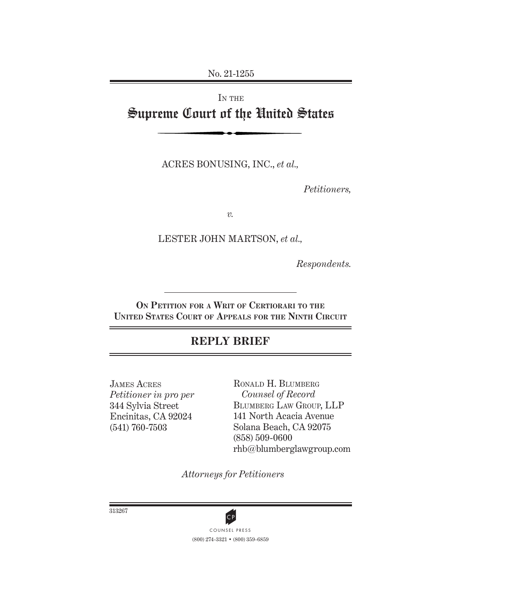No. 21-1255

# IN THE Supreme Court of the United States

ACRES BONUSING, INC., *et al.,* 

*Petitioners,*

*v.*

LESTER JOHN MARTSON, *et al.,*

*Respondents.*

**On Petition for a Writ of Certiorari to the United States Court of Appeals for the Ninth Circuit**

## **REPLY BRIEF**

James Acres *Petitioner in pro per*  344 Sylvia Street Encinitas, CA 92024 (541) 760-7503

Ronald H. Blumberg *Counsel of Record* Blumberg Law Group, LLP 141 North Acacia Avenue Solana Beach, CA 92075 (858) 509-0600 rhb@blumberglawgroup.com

*Attorneys for Petitioners*

313267

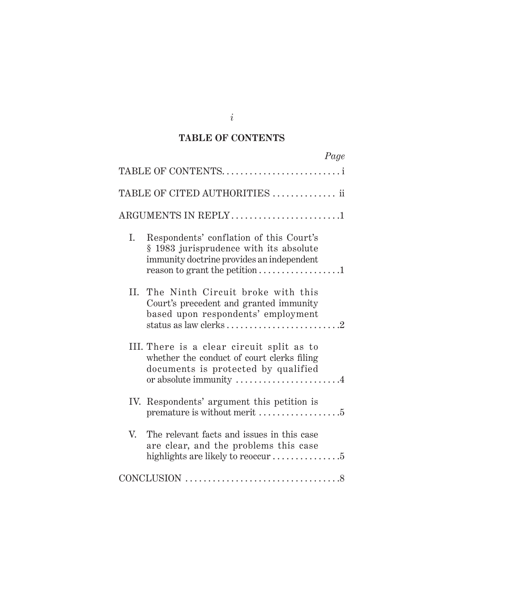### **TABLE OF CONTENTS**

| Page                                                                                                                                                                   |  |
|------------------------------------------------------------------------------------------------------------------------------------------------------------------------|--|
| TABLE OF CONTENTS                                                                                                                                                      |  |
| TABLE OF CITED AUTHORITIES  ii                                                                                                                                         |  |
| ARGUMENTS IN REPLY1                                                                                                                                                    |  |
| Respondents' conflation of this Court's<br>Ι.<br>§ 1983 jurisprudence with its absolute<br>immunity doctrine provides an independent<br>reason to grant the petition 1 |  |
| II. The Ninth Circuit broke with this<br>Court's precedent and granted immunity<br>based upon respondents' employment                                                  |  |
| III. There is a clear circuit split as to<br>whether the conduct of court clerks filing<br>documents is protected by qualified<br>or absolute immunity 4               |  |
| IV. Respondents' argument this petition is                                                                                                                             |  |
| V.<br>The relevant facts and issues in this case<br>are clear, and the problems this case                                                                              |  |
|                                                                                                                                                                        |  |

*i*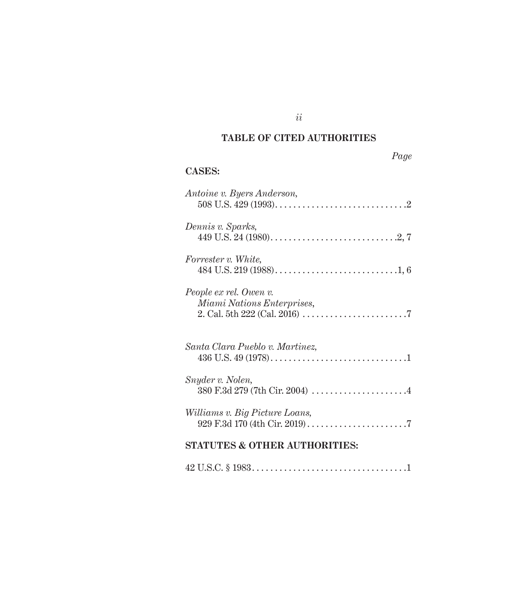## **TABLE OF CITED AUTHORITIES**

## **CASES:**

| Antoine v. Byers Anderson,                                  |
|-------------------------------------------------------------|
| Dennis v. Sparks,                                           |
| Forrester v. White,                                         |
| People ex rel. Owen v.<br><i>Miami Nations Enterprises,</i> |
| Santa Clara Pueblo v. Martinez,                             |
| Snyder v. Nolen,                                            |
| Williams v. Big Picture Loans,                              |
| <b>STATUTES &amp; OTHER AUTHORITIES:</b>                    |

|--|--|--|--|--|--|--|--|--|--|--|--|--|--|--|--|--|--|--|--|--|--|--|

*ii*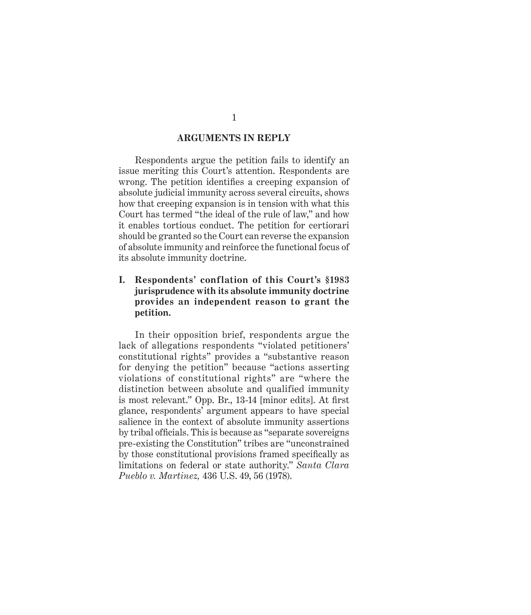#### **ARGUMENTS IN REPLY**

Respondents argue the petition fails to identify an issue meriting this Court's attention. Respondents are wrong. The petition identifies a creeping expansion of absolute judicial immunity across several circuits, shows how that creeping expansion is in tension with what this Court has termed "the ideal of the rule of law," and how it enables tortious conduct. The petition for certiorari should be granted so the Court can reverse the expansion of absolute immunity and reinforce the functional focus of its absolute immunity doctrine.

#### **I. Respondents' conflation of this Court's §1983 jurisprudence with its absolute immunity doctrine provides an independent reason to grant the petition.**

In their opposition brief, respondents argue the lack of allegations respondents "violated petitioners' constitutional rights" provides a "substantive reason for denying the petition" because "actions asserting violations of constitutional rights" are "where the distinction between absolute and qualified immunity is most relevant." Opp. Br., 13-14 [minor edits]. At first glance, respondents' argument appears to have special salience in the context of absolute immunity assertions by tribal officials. This is because as "separate sovereigns pre-existing the Constitution" tribes are "unconstrained by those constitutional provisions framed specifically as limitations on federal or state authority." *Santa Clara Pueblo v. Martinez,* 436 U.S. 49, 56 (1978).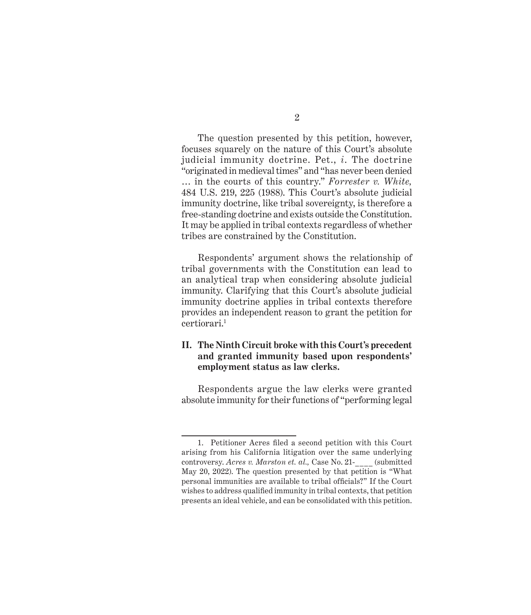The question presented by this petition, however, focuses squarely on the nature of this Court's absolute judicial immunity doctrine. Pet., *i*. The doctrine "originated in medieval times" and "has never been denied … in the courts of this country." *Forrester v. White,*  484 U.S. 219, 225 (1988). This Court's absolute judicial immunity doctrine, like tribal sovereignty, is therefore a free-standing doctrine and exists outside the Constitution. It may be applied in tribal contexts regardless of whether tribes are constrained by the Constitution.

Respondents' argument shows the relationship of tribal governments with the Constitution can lead to an analytical trap when considering absolute judicial immunity. Clarifying that this Court's absolute judicial immunity doctrine applies in tribal contexts therefore provides an independent reason to grant the petition for certiorari.1

#### **II. The Ninth Circuit broke with this Court's precedent and granted immunity based upon respondents' employment status as law clerks.**

Respondents argue the law clerks were granted absolute immunity for their functions of "performing legal

<sup>1.</sup> Petitioner Acres filed a second petition with this Court arising from his California litigation over the same underlying controversy. *Acres v. Marston et. al.*, Case No. 21- (submitted May 20, 2022). The question presented by that petition is "What personal immunities are available to tribal officials?" If the Court wishes to address qualified immunity in tribal contexts, that petition presents an ideal vehicle, and can be consolidated with this petition.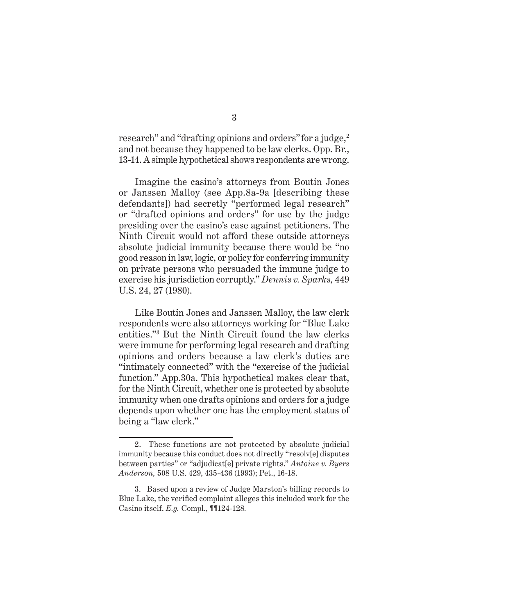research" and "drafting opinions and orders" for a judge,<sup>2</sup> and not because they happened to be law clerks. Opp. Br., 13-14. A simple hypothetical shows respondents are wrong.

Imagine the casino's attorneys from Boutin Jones or Janssen Malloy (see App.8a-9a [describing these defendants]) had secretly "performed legal research" or "drafted opinions and orders" for use by the judge presiding over the casino's case against petitioners. The Ninth Circuit would not afford these outside attorneys absolute judicial immunity because there would be "no good reason in law, logic, or policy for conferring immunity on private persons who persuaded the immune judge to exercise his jurisdiction corruptly." *Dennis v. Sparks,* 449 U.S. 24, 27 (1980).

Like Boutin Jones and Janssen Malloy, the law clerk respondents were also attorneys working for "Blue Lake entities."3 But the Ninth Circuit found the law clerks were immune for performing legal research and drafting opinions and orders because a law clerk's duties are "intimately connected" with the "exercise of the judicial function." App.30a. This hypothetical makes clear that, for the Ninth Circuit, whether one is protected by absolute immunity when one drafts opinions and orders for a judge depends upon whether one has the employment status of being a "law clerk."

<sup>2.</sup> These functions are not protected by absolute judicial immunity because this conduct does not directly "resolv[e] disputes between parties" or "adjudicat[e] private rights." *Antoine v. Byers Anderson,* 508 U.S. 429, 435-436 (1993); Pet., 16-18.

<sup>3.</sup> Based upon a review of Judge Marston's billing records to Blue Lake, the verified complaint alleges this included work for the Casino itself. *E.g.* Compl., ¶¶124-128*.*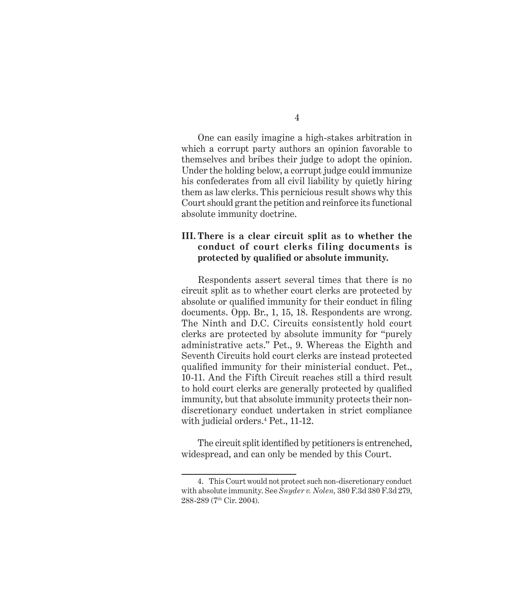One can easily imagine a high-stakes arbitration in which a corrupt party authors an opinion favorable to themselves and bribes their judge to adopt the opinion. Under the holding below, a corrupt judge could immunize his confederates from all civil liability by quietly hiring them as law clerks. This pernicious result shows why this Court should grant the petition and reinforce its functional absolute immunity doctrine.

#### **III. There is a clear circuit split as to whether the conduct of court clerks filing documents is protected by qualified or absolute immunity.**

Respondents assert several times that there is no circuit split as to whether court clerks are protected by absolute or qualified immunity for their conduct in filing documents. Opp. Br., 1, 15, 18. Respondents are wrong. The Ninth and D.C. Circuits consistently hold court clerks are protected by absolute immunity for "purely administrative acts." Pet., 9. Whereas the Eighth and Seventh Circuits hold court clerks are instead protected qualified immunity for their ministerial conduct. Pet., 10-11. And the Fifth Circuit reaches still a third result to hold court clerks are generally protected by qualified immunity, but that absolute immunity protects their nondiscretionary conduct undertaken in strict compliance with judicial orders.4 Pet., 11-12.

The circuit split identified by petitioners is entrenched, widespread, and can only be mended by this Court.

<sup>4.</sup> This Court would not protect such non-discretionary conduct with absolute immunity. See *Snyder v. Nolen,* 380 F.3d 380 F.3d 279, 288-289 (7th Cir. 2004).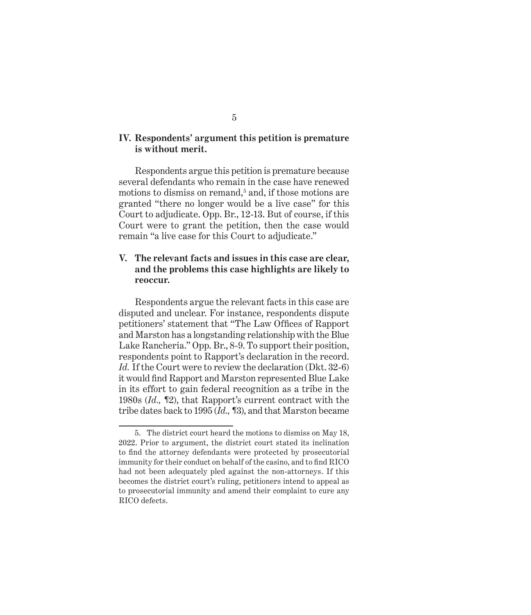#### **IV. Respondents' argument this petition is premature is without merit.**

Respondents argue this petition is premature because several defendants who remain in the case have renewed motions to dismiss on remand,<sup>5</sup> and, if those motions are granted "there no longer would be a live case" for this Court to adjudicate. Opp. Br., 12-13. But of course, if this Court were to grant the petition, then the case would remain "a live case for this Court to adjudicate."

#### **V. The relevant facts and issues in this case are clear, and the problems this case highlights are likely to reoccur.**

Respondents argue the relevant facts in this case are disputed and unclear. For instance, respondents dispute petitioners' statement that "The Law Offices of Rapport and Marston has a longstanding relationship with the Blue Lake Rancheria." Opp. Br., 8-9. To support their position, respondents point to Rapport's declaration in the record. *Id.* If the Court were to review the declaration (Dkt. 32-6) it would find Rapport and Marston represented Blue Lake in its effort to gain federal recognition as a tribe in the 1980s (*Id.,* ¶2), that Rapport's current contract with the tribe dates back to 1995 (*Id.,* ¶3), and that Marston became

<sup>5.</sup> The district court heard the motions to dismiss on May 18, 2022. Prior to argument, the district court stated its inclination to find the attorney defendants were protected by prosecutorial immunity for their conduct on behalf of the casino, and to find RICO had not been adequately pled against the non-attorneys. If this becomes the district court's ruling, petitioners intend to appeal as to prosecutorial immunity and amend their complaint to cure any RICO defects.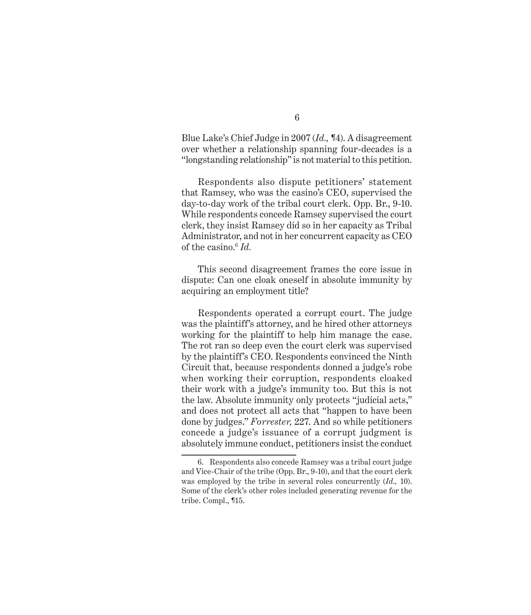Blue Lake's Chief Judge in 2007 (*Id., ¶*4). A disagreement over whether a relationship spanning four-decades is a "longstanding relationship" is not material to this petition.

Respondents also dispute petitioners' statement that Ramsey, who was the casino's CEO, supervised the day-to-day work of the tribal court clerk. Opp. Br., 9-10. While respondents concede Ramsey supervised the court clerk, they insist Ramsey did so in her capacity as Tribal Administrator, and not in her concurrent capacity as CEO of the casino.6 *Id.*

This second disagreement frames the core issue in dispute: Can one cloak oneself in absolute immunity by acquiring an employment title?

Respondents operated a corrupt court. The judge was the plaintiff's attorney, and he hired other attorneys working for the plaintiff to help him manage the case. The rot ran so deep even the court clerk was supervised by the plaintiff's CEO. Respondents convinced the Ninth Circuit that, because respondents donned a judge's robe when working their corruption, respondents cloaked their work with a judge's immunity too. But this is not the law. Absolute immunity only protects "judicial acts," and does not protect all acts that "happen to have been done by judges." *Forrester,* 227. And so while petitioners concede a judge's issuance of a corrupt judgment is absolutely immune conduct, petitioners insist the conduct

<sup>6.</sup> Respondents also concede Ramsey was a tribal court judge and Vice-Chair of the tribe (Opp. Br., 9-10), and that the court clerk was employed by the tribe in several roles concurrently (*Id.,* 10). Some of the clerk's other roles included generating revenue for the tribe. Compl., ¶15.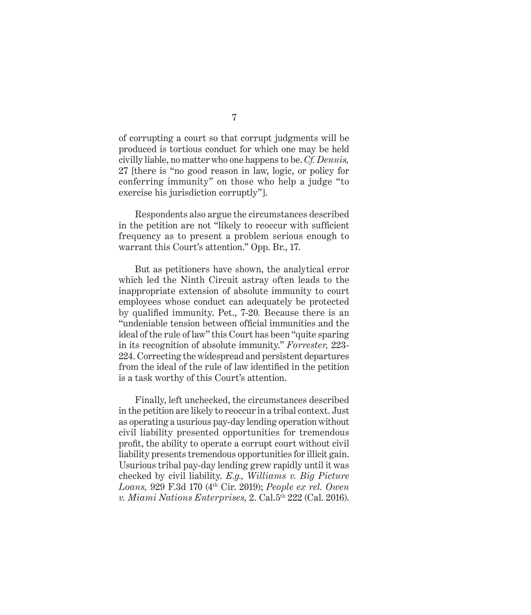of corrupting a court so that corrupt judgments will be produced is tortious conduct for which one may be held civilly liable, no matter who one happens to be. *Cf. Dennis,*  27 [there is "no good reason in law, logic, or policy for conferring immunity" on those who help a judge "to exercise his jurisdiction corruptly"].

Respondents also argue the circumstances described in the petition are not "likely to reoccur with sufficient frequency as to present a problem serious enough to warrant this Court's attention." Opp. Br., 17.

But as petitioners have shown, the analytical error which led the Ninth Circuit astray often leads to the inappropriate extension of absolute immunity to court employees whose conduct can adequately be protected by qualified immunity. Pet., 7-20*.* Because there is an "undeniable tension between official immunities and the ideal of the rule of law" this Court has been "quite sparing in its recognition of absolute immunity." *Forrester,* 223- 224. Correcting the widespread and persistent departures from the ideal of the rule of law identified in the petition is a task worthy of this Court's attention.

Finally, left unchecked, the circumstances described in the petition are likely to reoccur in a tribal context. Just as operating a usurious pay-day lending operation without civil liability presented opportunities for tremendous profit, the ability to operate a corrupt court without civil liability presents tremendous opportunities for illicit gain. Usurious tribal pay-day lending grew rapidly until it was checked by civil liability. *E.g., Williams v. Big Picture Loans,* 929 F.3d 170 (4th Cir. 2019); *People ex rel. Owen v. Miami Nations Enterprises,* 2. Cal.5th 222 (Cal. 2016).